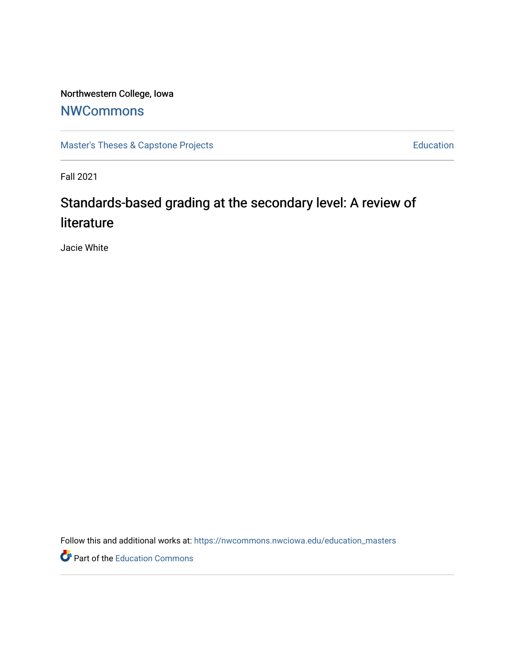Northwestern College, Iowa

## **[NWCommons](https://nwcommons.nwciowa.edu/)**

[Master's Theses & Capstone Projects](https://nwcommons.nwciowa.edu/education_masters) **Education** Education

Fall 2021

# Standards-based grading at the secondary level: A review of literature

Jacie White

Follow this and additional works at: [https://nwcommons.nwciowa.edu/education\\_masters](https://nwcommons.nwciowa.edu/education_masters?utm_source=nwcommons.nwciowa.edu%2Feducation_masters%2F366&utm_medium=PDF&utm_campaign=PDFCoverPages)

**P** Part of the [Education Commons](http://network.bepress.com/hgg/discipline/784?utm_source=nwcommons.nwciowa.edu%2Feducation_masters%2F366&utm_medium=PDF&utm_campaign=PDFCoverPages)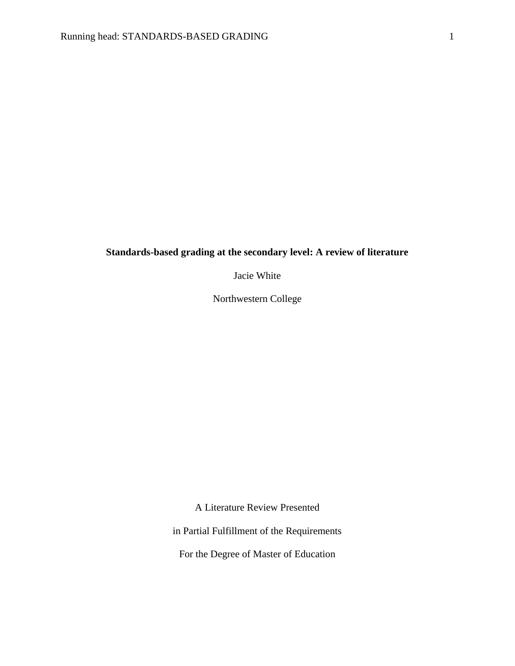### <span id="page-1-0"></span>**Standards-based grading at the secondary level: A review of literature**

Jacie White

Northwestern College

A Literature Review Presented

in Partial Fulfillment of the Requirements

For the Degree of Master of Education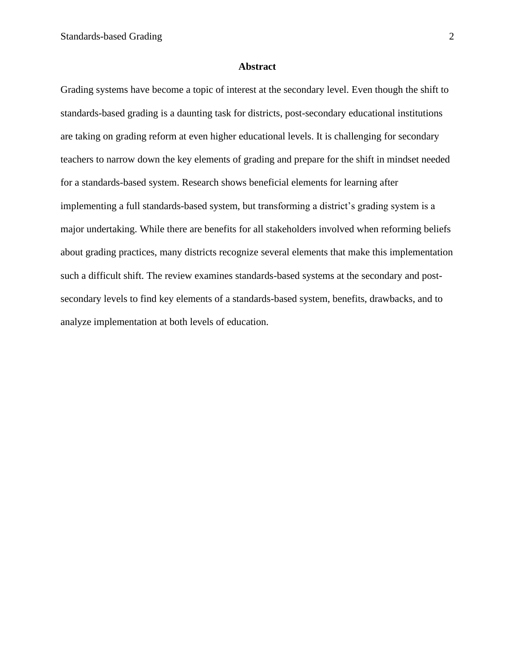#### **Abstract**

<span id="page-2-0"></span>Grading systems have become a topic of interest at the secondary level. Even though the shift to standards-based grading is a daunting task for districts, post-secondary educational institutions are taking on grading reform at even higher educational levels. It is challenging for secondary teachers to narrow down the key elements of grading and prepare for the shift in mindset needed for a standards-based system. Research shows beneficial elements for learning after implementing a full standards-based system, but transforming a district's grading system is a major undertaking. While there are benefits for all stakeholders involved when reforming beliefs about grading practices, many districts recognize several elements that make this implementation such a difficult shift. The review examines standards-based systems at the secondary and postsecondary levels to find key elements of a standards-based system, benefits, drawbacks, and to analyze implementation at both levels of education.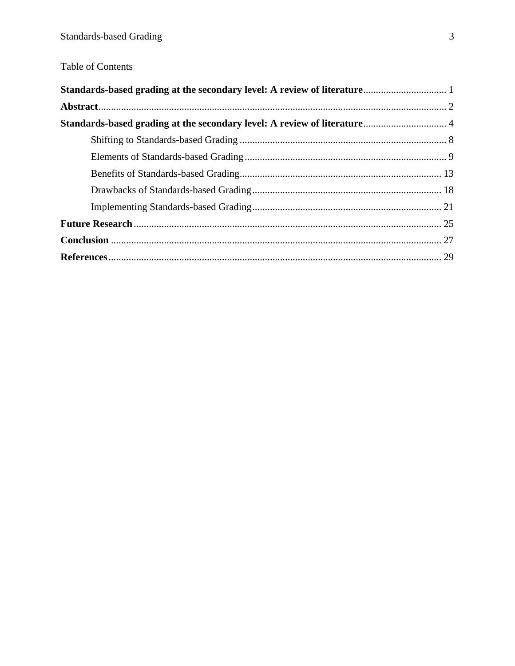## Table of Contents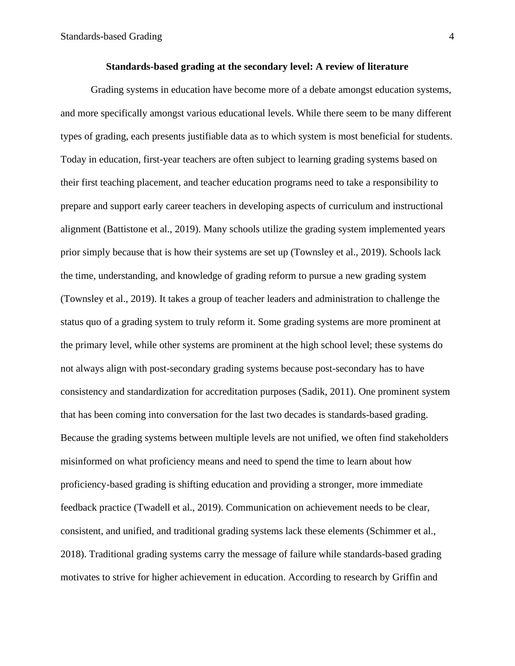<span id="page-4-0"></span>Grading systems in education have become more of a debate amongst education systems, and more specifically amongst various educational levels. While there seem to be many different types of grading, each presents justifiable data as to which system is most beneficial for students. Today in education, first-year teachers are often subject to learning grading systems based on their first teaching placement, and teacher education programs need to take a responsibility to prepare and support early career teachers in developing aspects of curriculum and instructional alignment (Battistone et al., 2019). Many schools utilize the grading system implemented years prior simply because that is how their systems are set up (Townsley et al., 2019). Schools lack the time, understanding, and knowledge of grading reform to pursue a new grading system (Townsley et al., 2019). It takes a group of teacher leaders and administration to challenge the status quo of a grading system to truly reform it. Some grading systems are more prominent at the primary level, while other systems are prominent at the high school level; these systems do not always align with post-secondary grading systems because post-secondary has to have consistency and standardization for accreditation purposes (Sadik, 2011). One prominent system that has been coming into conversation for the last two decades is standards-based grading. Because the grading systems between multiple levels are not unified, we often find stakeholders misinformed on what proficiency means and need to spend the time to learn about how proficiency-based grading is shifting education and providing a stronger, more immediate feedback practice (Twadell et al., 2019). Communication on achievement needs to be clear, consistent, and unified, and traditional grading systems lack these elements (Schimmer et al., 2018). Traditional grading systems carry the message of failure while standards-based grading motivates to strive for higher achievement in education. According to research by Griffin and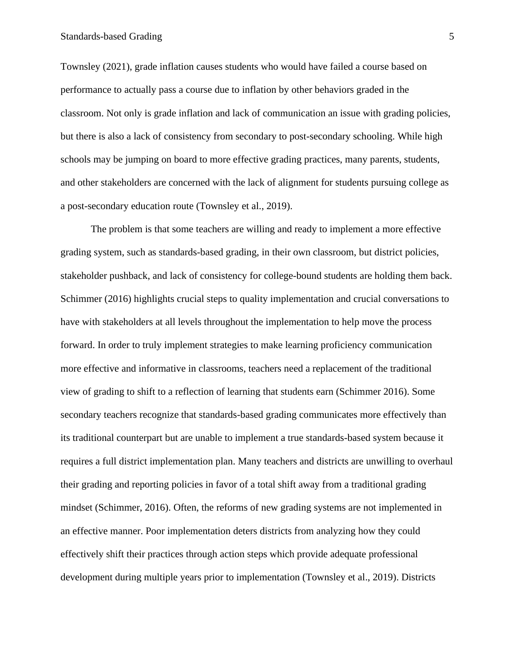Townsley (2021), grade inflation causes students who would have failed a course based on performance to actually pass a course due to inflation by other behaviors graded in the classroom. Not only is grade inflation and lack of communication an issue with grading policies, but there is also a lack of consistency from secondary to post-secondary schooling. While high schools may be jumping on board to more effective grading practices, many parents, students, and other stakeholders are concerned with the lack of alignment for students pursuing college as a post-secondary education route (Townsley et al., 2019).

The problem is that some teachers are willing and ready to implement a more effective grading system, such as standards-based grading, in their own classroom, but district policies, stakeholder pushback, and lack of consistency for college-bound students are holding them back. Schimmer (2016) highlights crucial steps to quality implementation and crucial conversations to have with stakeholders at all levels throughout the implementation to help move the process forward. In order to truly implement strategies to make learning proficiency communication more effective and informative in classrooms, teachers need a replacement of the traditional view of grading to shift to a reflection of learning that students earn (Schimmer 2016). Some secondary teachers recognize that standards-based grading communicates more effectively than its traditional counterpart but are unable to implement a true standards-based system because it requires a full district implementation plan. Many teachers and districts are unwilling to overhaul their grading and reporting policies in favor of a total shift away from a traditional grading mindset (Schimmer, 2016). Often, the reforms of new grading systems are not implemented in an effective manner. Poor implementation deters districts from analyzing how they could effectively shift their practices through action steps which provide adequate professional development during multiple years prior to implementation (Townsley et al., 2019). Districts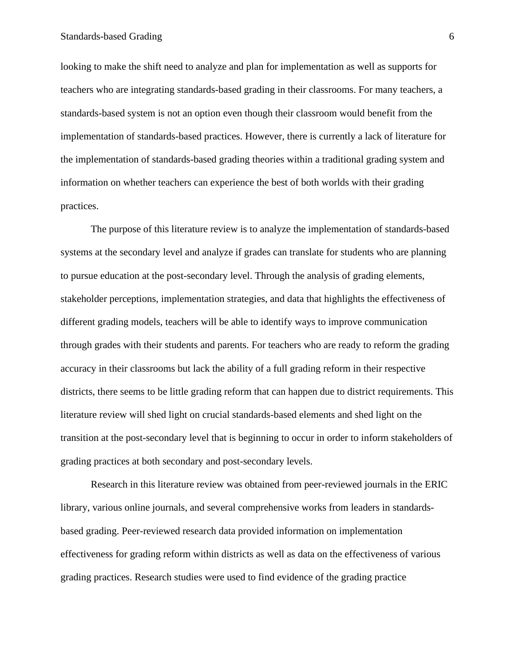#### Standards-based Grading 6

looking to make the shift need to analyze and plan for implementation as well as supports for teachers who are integrating standards-based grading in their classrooms. For many teachers, a standards-based system is not an option even though their classroom would benefit from the implementation of standards-based practices. However, there is currently a lack of literature for the implementation of standards-based grading theories within a traditional grading system and information on whether teachers can experience the best of both worlds with their grading practices.

The purpose of this literature review is to analyze the implementation of standards-based systems at the secondary level and analyze if grades can translate for students who are planning to pursue education at the post-secondary level. Through the analysis of grading elements, stakeholder perceptions, implementation strategies, and data that highlights the effectiveness of different grading models, teachers will be able to identify ways to improve communication through grades with their students and parents. For teachers who are ready to reform the grading accuracy in their classrooms but lack the ability of a full grading reform in their respective districts, there seems to be little grading reform that can happen due to district requirements. This literature review will shed light on crucial standards-based elements and shed light on the transition at the post-secondary level that is beginning to occur in order to inform stakeholders of grading practices at both secondary and post-secondary levels.

Research in this literature review was obtained from peer-reviewed journals in the ERIC library, various online journals, and several comprehensive works from leaders in standardsbased grading. Peer-reviewed research data provided information on implementation effectiveness for grading reform within districts as well as data on the effectiveness of various grading practices. Research studies were used to find evidence of the grading practice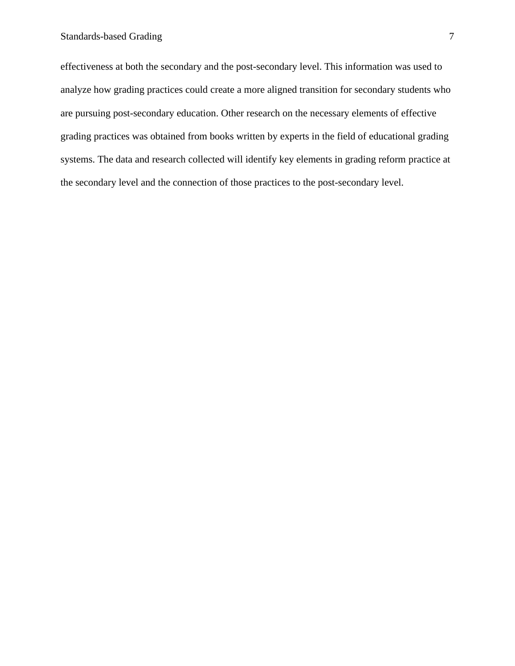effectiveness at both the secondary and the post-secondary level. This information was used to analyze how grading practices could create a more aligned transition for secondary students who are pursuing post-secondary education. Other research on the necessary elements of effective grading practices was obtained from books written by experts in the field of educational grading systems. The data and research collected will identify key elements in grading reform practice at the secondary level and the connection of those practices to the post-secondary level.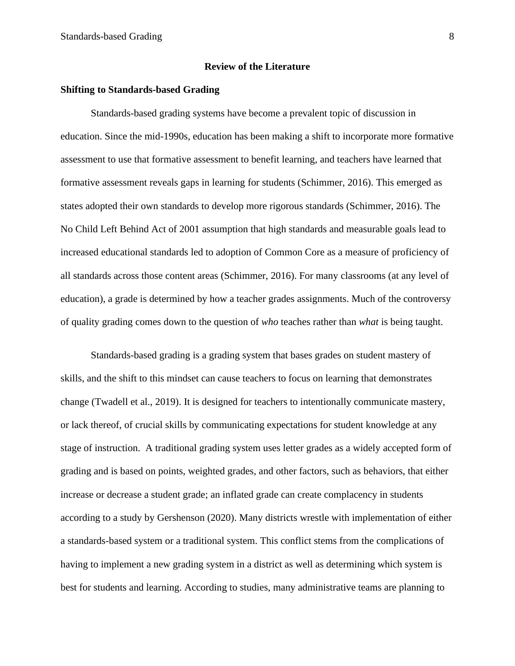#### **Review of the Literature**

#### **Shifting to Standards-based Grading**

Standards-based grading systems have become a prevalent topic of discussion in education. Since the mid-1990s, education has been making a shift to incorporate more formative assessment to use that formative assessment to benefit learning, and teachers have learned that formative assessment reveals gaps in learning for students (Schimmer, 2016). This emerged as states adopted their own standards to develop more rigorous standards (Schimmer, 2016). The No Child Left Behind Act of 2001 assumption that high standards and measurable goals lead to increased educational standards led to adoption of Common Core as a measure of proficiency of all standards across those content areas (Schimmer, 2016). For many classrooms (at any level of education), a grade is determined by how a teacher grades assignments. Much of the controversy of quality grading comes down to the question of *who* teaches rather than *what* is being taught.

Standards-based grading is a grading system that bases grades on student mastery of skills, and the shift to this mindset can cause teachers to focus on learning that demonstrates change (Twadell et al., 2019). It is designed for teachers to intentionally communicate mastery, or lack thereof, of crucial skills by communicating expectations for student knowledge at any stage of instruction. A traditional grading system uses letter grades as a widely accepted form of grading and is based on points, weighted grades, and other factors, such as behaviors, that either increase or decrease a student grade; an inflated grade can create complacency in students according to a study by Gershenson (2020). Many districts wrestle with implementation of either a standards-based system or a traditional system. This conflict stems from the complications of having to implement a new grading system in a district as well as determining which system is best for students and learning. According to studies, many administrative teams are planning to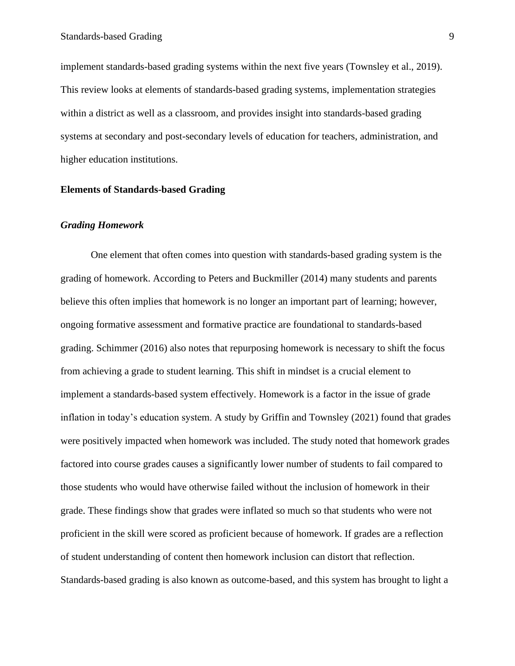implement standards-based grading systems within the next five years (Townsley et al., 2019). This review looks at elements of standards-based grading systems, implementation strategies within a district as well as a classroom, and provides insight into standards-based grading systems at secondary and post-secondary levels of education for teachers, administration, and higher education institutions.

#### <span id="page-9-0"></span>**Elements of Standards-based Grading**

#### *Grading Homework*

One element that often comes into question with standards-based grading system is the grading of homework. According to Peters and Buckmiller (2014) many students and parents believe this often implies that homework is no longer an important part of learning; however, ongoing formative assessment and formative practice are foundational to standards-based grading. Schimmer (2016) also notes that repurposing homework is necessary to shift the focus from achieving a grade to student learning. This shift in mindset is a crucial element to implement a standards-based system effectively. Homework is a factor in the issue of grade inflation in today's education system. A study by Griffin and Townsley (2021) found that grades were positively impacted when homework was included. The study noted that homework grades factored into course grades causes a significantly lower number of students to fail compared to those students who would have otherwise failed without the inclusion of homework in their grade. These findings show that grades were inflated so much so that students who were not proficient in the skill were scored as proficient because of homework. If grades are a reflection of student understanding of content then homework inclusion can distort that reflection. Standards-based grading is also known as outcome-based, and this system has brought to light a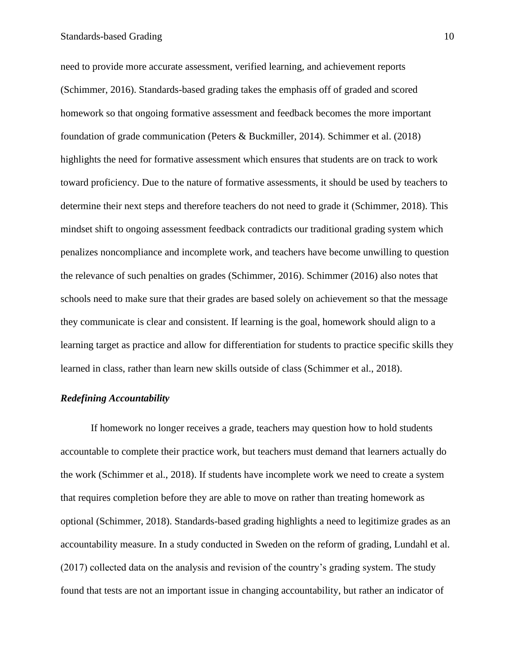need to provide more accurate assessment, verified learning, and achievement reports (Schimmer, 2016). Standards-based grading takes the emphasis off of graded and scored homework so that ongoing formative assessment and feedback becomes the more important foundation of grade communication (Peters & Buckmiller, 2014). Schimmer et al. (2018) highlights the need for formative assessment which ensures that students are on track to work toward proficiency. Due to the nature of formative assessments, it should be used by teachers to determine their next steps and therefore teachers do not need to grade it (Schimmer, 2018). This mindset shift to ongoing assessment feedback contradicts our traditional grading system which penalizes noncompliance and incomplete work, and teachers have become unwilling to question the relevance of such penalties on grades (Schimmer, 2016). Schimmer (2016) also notes that schools need to make sure that their grades are based solely on achievement so that the message they communicate is clear and consistent. If learning is the goal, homework should align to a learning target as practice and allow for differentiation for students to practice specific skills they learned in class, rather than learn new skills outside of class (Schimmer et al., 2018).

#### *Redefining Accountability*

If homework no longer receives a grade, teachers may question how to hold students accountable to complete their practice work, but teachers must demand that learners actually do the work (Schimmer et al., 2018). If students have incomplete work we need to create a system that requires completion before they are able to move on rather than treating homework as optional (Schimmer, 2018). Standards-based grading highlights a need to legitimize grades as an accountability measure. In a study conducted in Sweden on the reform of grading, Lundahl et al. (2017) collected data on the analysis and revision of the country's grading system. The study found that tests are not an important issue in changing accountability, but rather an indicator of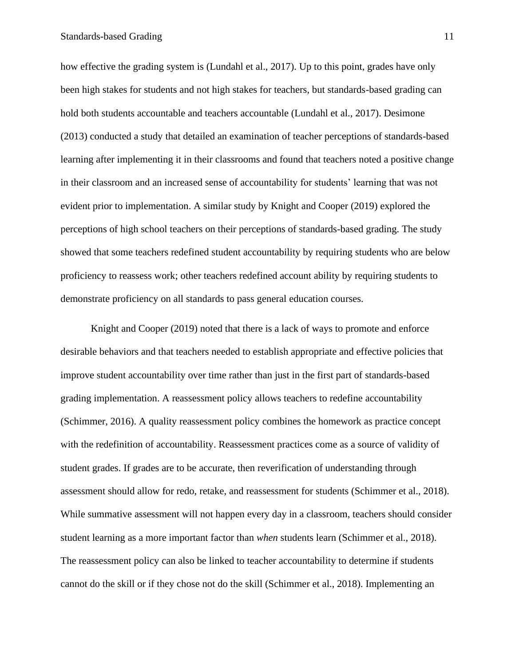#### Standards-based Grading 11

how effective the grading system is (Lundahl et al., 2017). Up to this point, grades have only been high stakes for students and not high stakes for teachers, but standards-based grading can hold both students accountable and teachers accountable (Lundahl et al., 2017). Desimone (2013) conducted a study that detailed an examination of teacher perceptions of standards-based learning after implementing it in their classrooms and found that teachers noted a positive change in their classroom and an increased sense of accountability for students' learning that was not evident prior to implementation. A similar study by Knight and Cooper (2019) explored the perceptions of high school teachers on their perceptions of standards-based grading. The study showed that some teachers redefined student accountability by requiring students who are below proficiency to reassess work; other teachers redefined account ability by requiring students to demonstrate proficiency on all standards to pass general education courses.

Knight and Cooper (2019) noted that there is a lack of ways to promote and enforce desirable behaviors and that teachers needed to establish appropriate and effective policies that improve student accountability over time rather than just in the first part of standards-based grading implementation. A reassessment policy allows teachers to redefine accountability (Schimmer, 2016). A quality reassessment policy combines the homework as practice concept with the redefinition of accountability. Reassessment practices come as a source of validity of student grades. If grades are to be accurate, then reverification of understanding through assessment should allow for redo, retake, and reassessment for students (Schimmer et al., 2018). While summative assessment will not happen every day in a classroom, teachers should consider student learning as a more important factor than *when* students learn (Schimmer et al., 2018). The reassessment policy can also be linked to teacher accountability to determine if students cannot do the skill or if they chose not do the skill (Schimmer et al., 2018). Implementing an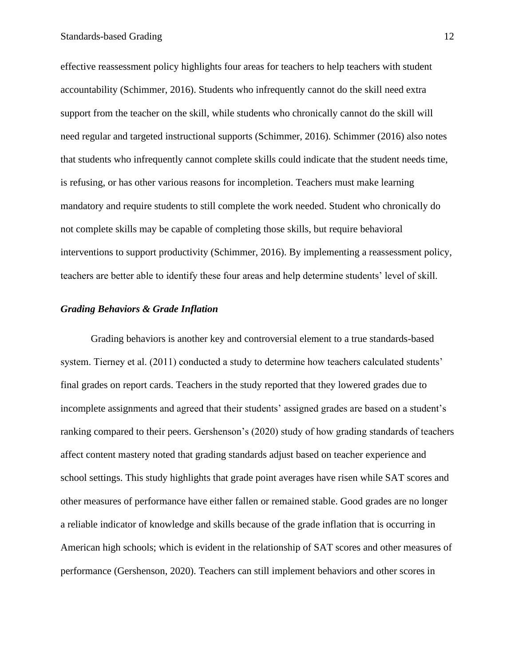effective reassessment policy highlights four areas for teachers to help teachers with student accountability (Schimmer, 2016). Students who infrequently cannot do the skill need extra support from the teacher on the skill, while students who chronically cannot do the skill will need regular and targeted instructional supports (Schimmer, 2016). Schimmer (2016) also notes that students who infrequently cannot complete skills could indicate that the student needs time, is refusing, or has other various reasons for incompletion. Teachers must make learning mandatory and require students to still complete the work needed. Student who chronically do not complete skills may be capable of completing those skills, but require behavioral interventions to support productivity (Schimmer, 2016). By implementing a reassessment policy, teachers are better able to identify these four areas and help determine students' level of skill.

#### *Grading Behaviors & Grade Inflation*

Grading behaviors is another key and controversial element to a true standards-based system. Tierney et al. (2011) conducted a study to determine how teachers calculated students' final grades on report cards. Teachers in the study reported that they lowered grades due to incomplete assignments and agreed that their students' assigned grades are based on a student's ranking compared to their peers. Gershenson's (2020) study of how grading standards of teachers affect content mastery noted that grading standards adjust based on teacher experience and school settings. This study highlights that grade point averages have risen while SAT scores and other measures of performance have either fallen or remained stable. Good grades are no longer a reliable indicator of knowledge and skills because of the grade inflation that is occurring in American high schools; which is evident in the relationship of SAT scores and other measures of performance (Gershenson, 2020). Teachers can still implement behaviors and other scores in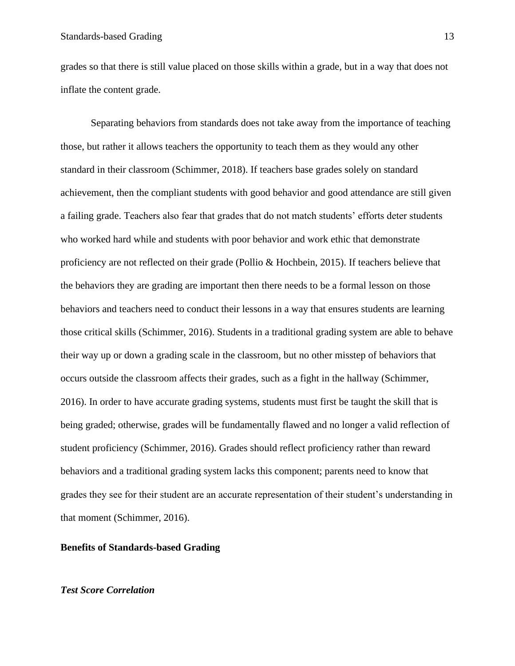grades so that there is still value placed on those skills within a grade, but in a way that does not inflate the content grade.

Separating behaviors from standards does not take away from the importance of teaching those, but rather it allows teachers the opportunity to teach them as they would any other standard in their classroom (Schimmer, 2018). If teachers base grades solely on standard achievement, then the compliant students with good behavior and good attendance are still given a failing grade. Teachers also fear that grades that do not match students' efforts deter students who worked hard while and students with poor behavior and work ethic that demonstrate proficiency are not reflected on their grade (Pollio & Hochbein, 2015). If teachers believe that the behaviors they are grading are important then there needs to be a formal lesson on those behaviors and teachers need to conduct their lessons in a way that ensures students are learning those critical skills (Schimmer, 2016). Students in a traditional grading system are able to behave their way up or down a grading scale in the classroom, but no other misstep of behaviors that occurs outside the classroom affects their grades, such as a fight in the hallway (Schimmer, 2016). In order to have accurate grading systems, students must first be taught the skill that is being graded; otherwise, grades will be fundamentally flawed and no longer a valid reflection of student proficiency (Schimmer, 2016). Grades should reflect proficiency rather than reward behaviors and a traditional grading system lacks this component; parents need to know that grades they see for their student are an accurate representation of their student's understanding in that moment (Schimmer, 2016).

#### <span id="page-13-0"></span>**Benefits of Standards-based Grading**

#### *Test Score Correlation*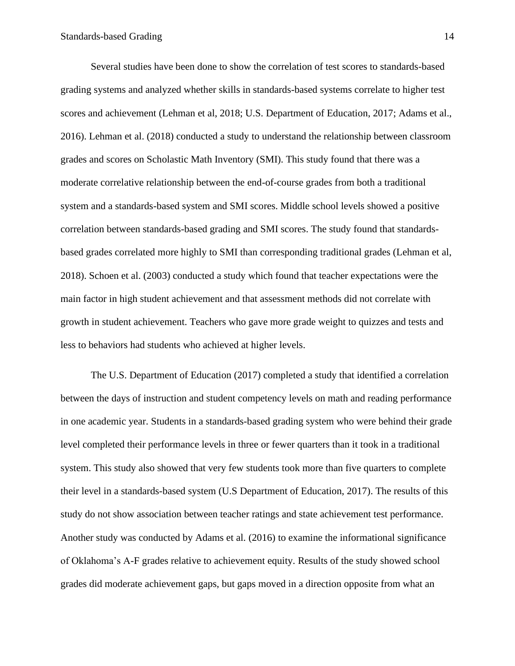Several studies have been done to show the correlation of test scores to standards-based grading systems and analyzed whether skills in standards-based systems correlate to higher test scores and achievement (Lehman et al, 2018; U.S. Department of Education, 2017; Adams et al., 2016). Lehman et al. (2018) conducted a study to understand the relationship between classroom grades and scores on Scholastic Math Inventory (SMI). This study found that there was a moderate correlative relationship between the end-of-course grades from both a traditional system and a standards-based system and SMI scores. Middle school levels showed a positive correlation between standards-based grading and SMI scores. The study found that standardsbased grades correlated more highly to SMI than corresponding traditional grades (Lehman et al, 2018). Schoen et al. (2003) conducted a study which found that teacher expectations were the main factor in high student achievement and that assessment methods did not correlate with growth in student achievement. Teachers who gave more grade weight to quizzes and tests and less to behaviors had students who achieved at higher levels.

The U.S. Department of Education (2017) completed a study that identified a correlation between the days of instruction and student competency levels on math and reading performance in one academic year. Students in a standards-based grading system who were behind their grade level completed their performance levels in three or fewer quarters than it took in a traditional system. This study also showed that very few students took more than five quarters to complete their level in a standards-based system (U.S Department of Education, 2017). The results of this study do not show association between teacher ratings and state achievement test performance. Another study was conducted by Adams et al. (2016) to examine the informational significance of Oklahoma's A-F grades relative to achievement equity. Results of the study showed school grades did moderate achievement gaps, but gaps moved in a direction opposite from what an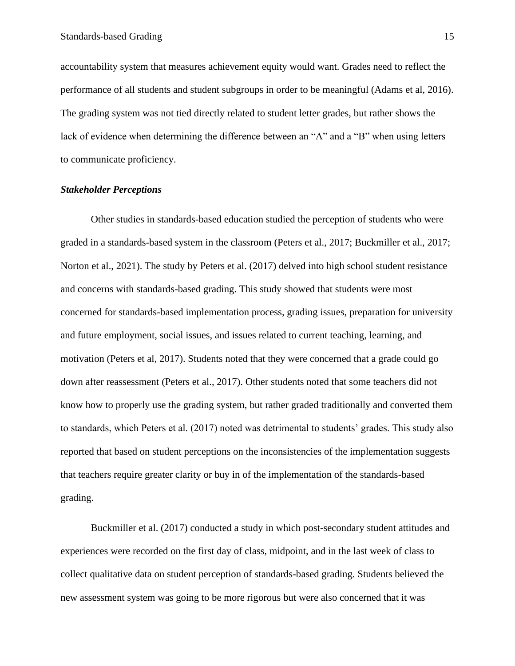accountability system that measures achievement equity would want. Grades need to reflect the performance of all students and student subgroups in order to be meaningful (Adams et al, 2016). The grading system was not tied directly related to student letter grades, but rather shows the lack of evidence when determining the difference between an "A" and a "B" when using letters to communicate proficiency.

#### *Stakeholder Perceptions*

Other studies in standards-based education studied the perception of students who were graded in a standards-based system in the classroom (Peters et al., 2017; Buckmiller et al., 2017; Norton et al., 2021). The study by Peters et al. (2017) delved into high school student resistance and concerns with standards-based grading. This study showed that students were most concerned for standards-based implementation process, grading issues, preparation for university and future employment, social issues, and issues related to current teaching, learning, and motivation (Peters et al, 2017). Students noted that they were concerned that a grade could go down after reassessment (Peters et al., 2017). Other students noted that some teachers did not know how to properly use the grading system, but rather graded traditionally and converted them to standards, which Peters et al. (2017) noted was detrimental to students' grades. This study also reported that based on student perceptions on the inconsistencies of the implementation suggests that teachers require greater clarity or buy in of the implementation of the standards-based grading.

Buckmiller et al. (2017) conducted a study in which post-secondary student attitudes and experiences were recorded on the first day of class, midpoint, and in the last week of class to collect qualitative data on student perception of standards-based grading. Students believed the new assessment system was going to be more rigorous but were also concerned that it was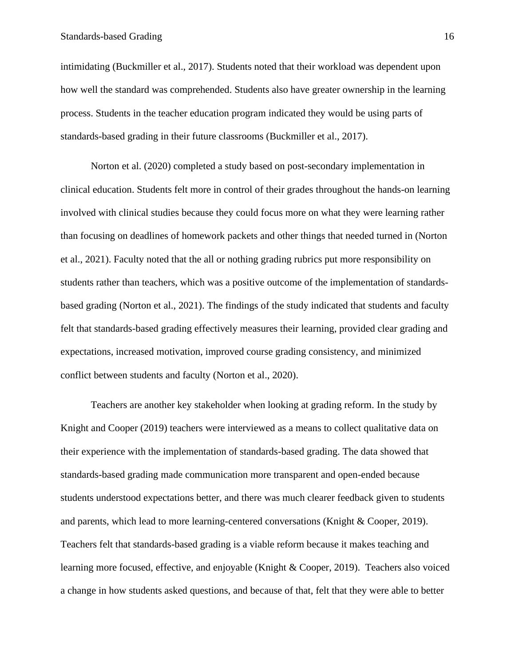intimidating (Buckmiller et al., 2017). Students noted that their workload was dependent upon how well the standard was comprehended. Students also have greater ownership in the learning process. Students in the teacher education program indicated they would be using parts of standards-based grading in their future classrooms (Buckmiller et al., 2017).

Norton et al. (2020) completed a study based on post-secondary implementation in clinical education. Students felt more in control of their grades throughout the hands-on learning involved with clinical studies because they could focus more on what they were learning rather than focusing on deadlines of homework packets and other things that needed turned in (Norton et al., 2021). Faculty noted that the all or nothing grading rubrics put more responsibility on students rather than teachers, which was a positive outcome of the implementation of standardsbased grading (Norton et al., 2021). The findings of the study indicated that students and faculty felt that standards-based grading effectively measures their learning, provided clear grading and expectations, increased motivation, improved course grading consistency, and minimized conflict between students and faculty (Norton et al., 2020).

Teachers are another key stakeholder when looking at grading reform. In the study by Knight and Cooper (2019) teachers were interviewed as a means to collect qualitative data on their experience with the implementation of standards-based grading. The data showed that standards-based grading made communication more transparent and open-ended because students understood expectations better, and there was much clearer feedback given to students and parents, which lead to more learning-centered conversations (Knight & Cooper, 2019). Teachers felt that standards-based grading is a viable reform because it makes teaching and learning more focused, effective, and enjoyable (Knight & Cooper, 2019). Teachers also voiced a change in how students asked questions, and because of that, felt that they were able to better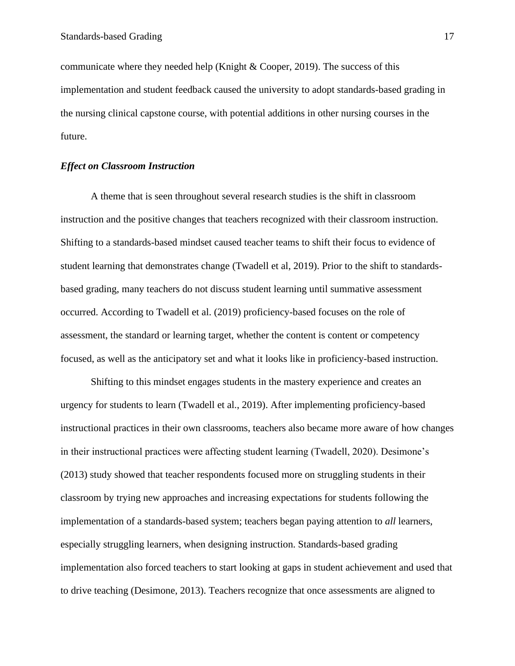communicate where they needed help (Knight & Cooper, 2019). The success of this implementation and student feedback caused the university to adopt standards-based grading in the nursing clinical capstone course, with potential additions in other nursing courses in the future.

#### *Effect on Classroom Instruction*

A theme that is seen throughout several research studies is the shift in classroom instruction and the positive changes that teachers recognized with their classroom instruction. Shifting to a standards-based mindset caused teacher teams to shift their focus to evidence of student learning that demonstrates change (Twadell et al, 2019). Prior to the shift to standardsbased grading, many teachers do not discuss student learning until summative assessment occurred. According to Twadell et al. (2019) proficiency-based focuses on the role of assessment, the standard or learning target, whether the content is content or competency focused, as well as the anticipatory set and what it looks like in proficiency-based instruction.

Shifting to this mindset engages students in the mastery experience and creates an urgency for students to learn (Twadell et al., 2019). After implementing proficiency-based instructional practices in their own classrooms, teachers also became more aware of how changes in their instructional practices were affecting student learning (Twadell, 2020). Desimone's (2013) study showed that teacher respondents focused more on struggling students in their classroom by trying new approaches and increasing expectations for students following the implementation of a standards-based system; teachers began paying attention to *all* learners, especially struggling learners, when designing instruction. Standards-based grading implementation also forced teachers to start looking at gaps in student achievement and used that to drive teaching (Desimone, 2013). Teachers recognize that once assessments are aligned to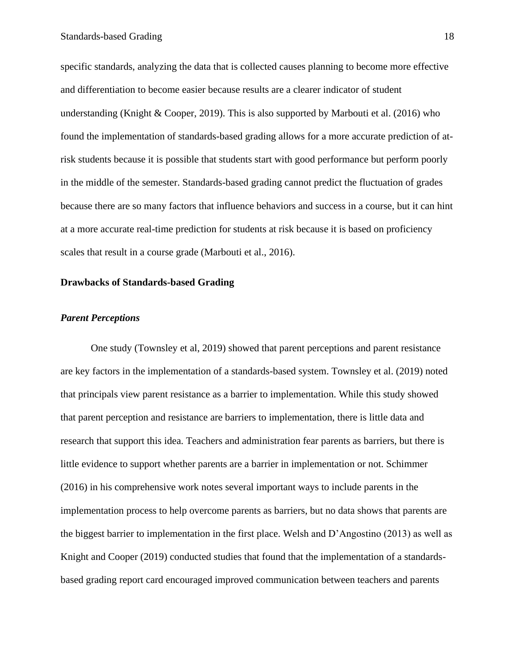specific standards, analyzing the data that is collected causes planning to become more effective and differentiation to become easier because results are a clearer indicator of student understanding (Knight & Cooper, 2019). This is also supported by Marbouti et al. (2016) who found the implementation of standards-based grading allows for a more accurate prediction of atrisk students because it is possible that students start with good performance but perform poorly in the middle of the semester. Standards-based grading cannot predict the fluctuation of grades because there are so many factors that influence behaviors and success in a course, but it can hint at a more accurate real-time prediction for students at risk because it is based on proficiency scales that result in a course grade (Marbouti et al., 2016).

#### <span id="page-18-0"></span>**Drawbacks of Standards-based Grading**

#### *Parent Perceptions*

One study (Townsley et al, 2019) showed that parent perceptions and parent resistance are key factors in the implementation of a standards-based system. Townsley et al. (2019) noted that principals view parent resistance as a barrier to implementation. While this study showed that parent perception and resistance are barriers to implementation, there is little data and research that support this idea. Teachers and administration fear parents as barriers, but there is little evidence to support whether parents are a barrier in implementation or not. Schimmer (2016) in his comprehensive work notes several important ways to include parents in the implementation process to help overcome parents as barriers, but no data shows that parents are the biggest barrier to implementation in the first place. Welsh and D'Angostino (2013) as well as Knight and Cooper (2019) conducted studies that found that the implementation of a standardsbased grading report card encouraged improved communication between teachers and parents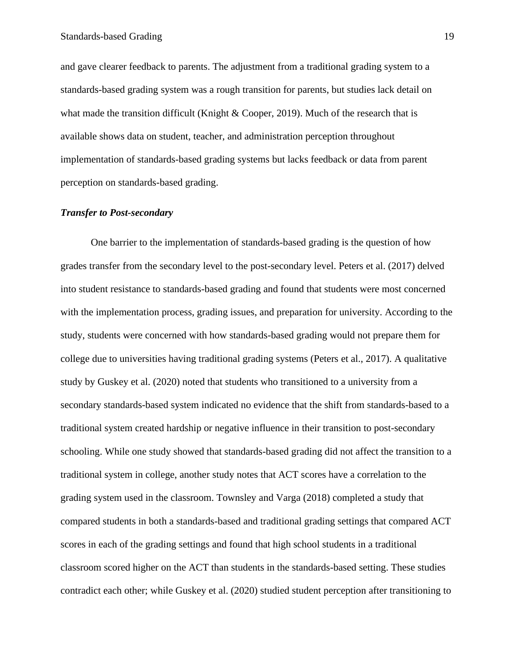and gave clearer feedback to parents. The adjustment from a traditional grading system to a standards-based grading system was a rough transition for parents, but studies lack detail on what made the transition difficult (Knight & Cooper, 2019). Much of the research that is available shows data on student, teacher, and administration perception throughout implementation of standards-based grading systems but lacks feedback or data from parent perception on standards-based grading.

#### *Transfer to Post-secondary*

One barrier to the implementation of standards-based grading is the question of how grades transfer from the secondary level to the post-secondary level. Peters et al. (2017) delved into student resistance to standards-based grading and found that students were most concerned with the implementation process, grading issues, and preparation for university. According to the study, students were concerned with how standards-based grading would not prepare them for college due to universities having traditional grading systems (Peters et al., 2017). A qualitative study by Guskey et al. (2020) noted that students who transitioned to a university from a secondary standards-based system indicated no evidence that the shift from standards-based to a traditional system created hardship or negative influence in their transition to post-secondary schooling. While one study showed that standards-based grading did not affect the transition to a traditional system in college, another study notes that ACT scores have a correlation to the grading system used in the classroom. Townsley and Varga (2018) completed a study that compared students in both a standards-based and traditional grading settings that compared ACT scores in each of the grading settings and found that high school students in a traditional classroom scored higher on the ACT than students in the standards-based setting. These studies contradict each other; while Guskey et al. (2020) studied student perception after transitioning to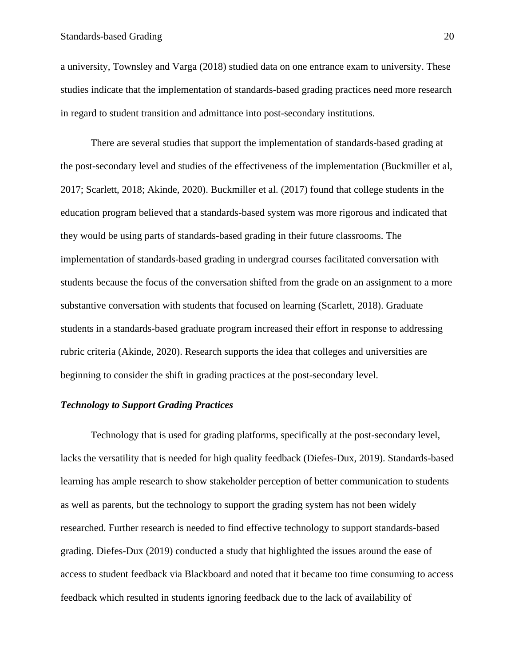#### Standards-based Grading 20

a university, Townsley and Varga (2018) studied data on one entrance exam to university. These studies indicate that the implementation of standards-based grading practices need more research in regard to student transition and admittance into post-secondary institutions.

There are several studies that support the implementation of standards-based grading at the post-secondary level and studies of the effectiveness of the implementation (Buckmiller et al, 2017; Scarlett, 2018; Akinde, 2020). Buckmiller et al. (2017) found that college students in the education program believed that a standards-based system was more rigorous and indicated that they would be using parts of standards-based grading in their future classrooms. The implementation of standards-based grading in undergrad courses facilitated conversation with students because the focus of the conversation shifted from the grade on an assignment to a more substantive conversation with students that focused on learning (Scarlett, 2018). Graduate students in a standards-based graduate program increased their effort in response to addressing rubric criteria (Akinde, 2020). Research supports the idea that colleges and universities are beginning to consider the shift in grading practices at the post-secondary level.

#### *Technology to Support Grading Practices*

Technology that is used for grading platforms, specifically at the post-secondary level, lacks the versatility that is needed for high quality feedback (Diefes-Dux, 2019). Standards-based learning has ample research to show stakeholder perception of better communication to students as well as parents, but the technology to support the grading system has not been widely researched. Further research is needed to find effective technology to support standards-based grading. Diefes-Dux (2019) conducted a study that highlighted the issues around the ease of access to student feedback via Blackboard and noted that it became too time consuming to access feedback which resulted in students ignoring feedback due to the lack of availability of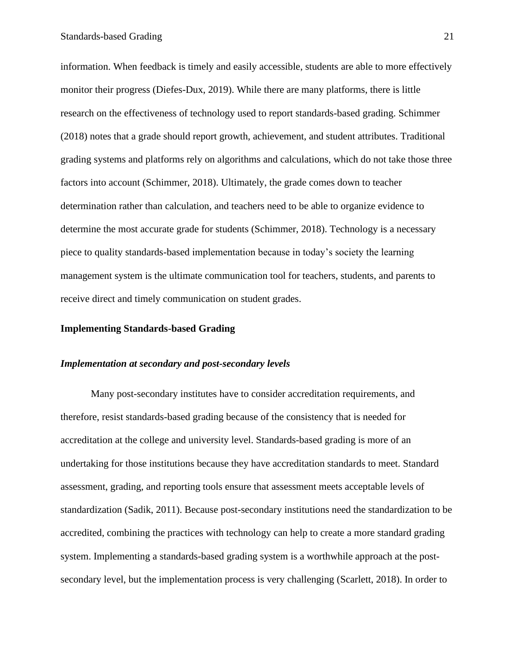information. When feedback is timely and easily accessible, students are able to more effectively monitor their progress (Diefes-Dux, 2019). While there are many platforms, there is little research on the effectiveness of technology used to report standards-based grading. Schimmer (2018) notes that a grade should report growth, achievement, and student attributes. Traditional grading systems and platforms rely on algorithms and calculations, which do not take those three factors into account (Schimmer, 2018). Ultimately, the grade comes down to teacher determination rather than calculation, and teachers need to be able to organize evidence to determine the most accurate grade for students (Schimmer, 2018). Technology is a necessary piece to quality standards-based implementation because in today's society the learning management system is the ultimate communication tool for teachers, students, and parents to receive direct and timely communication on student grades.

#### <span id="page-21-0"></span>**Implementing Standards-based Grading**

#### *Implementation at secondary and post-secondary levels*

Many post-secondary institutes have to consider accreditation requirements, and therefore, resist standards-based grading because of the consistency that is needed for accreditation at the college and university level. Standards-based grading is more of an undertaking for those institutions because they have accreditation standards to meet. Standard assessment, grading, and reporting tools ensure that assessment meets acceptable levels of standardization (Sadik, 2011). Because post-secondary institutions need the standardization to be accredited, combining the practices with technology can help to create a more standard grading system. Implementing a standards-based grading system is a worthwhile approach at the postsecondary level, but the implementation process is very challenging (Scarlett, 2018). In order to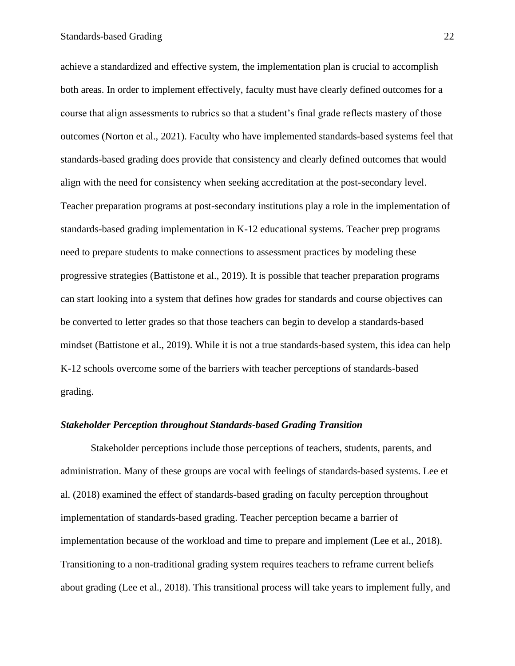achieve a standardized and effective system, the implementation plan is crucial to accomplish both areas. In order to implement effectively, faculty must have clearly defined outcomes for a course that align assessments to rubrics so that a student's final grade reflects mastery of those outcomes (Norton et al., 2021). Faculty who have implemented standards-based systems feel that standards-based grading does provide that consistency and clearly defined outcomes that would align with the need for consistency when seeking accreditation at the post-secondary level. Teacher preparation programs at post-secondary institutions play a role in the implementation of standards-based grading implementation in K-12 educational systems. Teacher prep programs need to prepare students to make connections to assessment practices by modeling these progressive strategies (Battistone et al., 2019). It is possible that teacher preparation programs can start looking into a system that defines how grades for standards and course objectives can be converted to letter grades so that those teachers can begin to develop a standards-based mindset (Battistone et al., 2019). While it is not a true standards-based system, this idea can help K-12 schools overcome some of the barriers with teacher perceptions of standards-based grading.

#### *Stakeholder Perception throughout Standards-based Grading Transition*

Stakeholder perceptions include those perceptions of teachers, students, parents, and administration. Many of these groups are vocal with feelings of standards-based systems. Lee et al. (2018) examined the effect of standards-based grading on faculty perception throughout implementation of standards-based grading. Teacher perception became a barrier of implementation because of the workload and time to prepare and implement (Lee et al., 2018). Transitioning to a non-traditional grading system requires teachers to reframe current beliefs about grading (Lee et al., 2018). This transitional process will take years to implement fully, and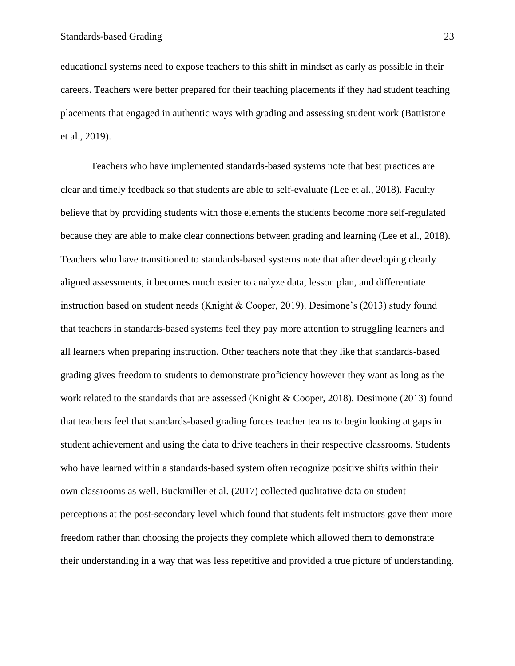educational systems need to expose teachers to this shift in mindset as early as possible in their careers. Teachers were better prepared for their teaching placements if they had student teaching placements that engaged in authentic ways with grading and assessing student work (Battistone et al., 2019).

Teachers who have implemented standards-based systems note that best practices are clear and timely feedback so that students are able to self-evaluate (Lee et al., 2018). Faculty believe that by providing students with those elements the students become more self-regulated because they are able to make clear connections between grading and learning (Lee et al., 2018). Teachers who have transitioned to standards-based systems note that after developing clearly aligned assessments, it becomes much easier to analyze data, lesson plan, and differentiate instruction based on student needs (Knight & Cooper, 2019). Desimone's (2013) study found that teachers in standards-based systems feel they pay more attention to struggling learners and all learners when preparing instruction. Other teachers note that they like that standards-based grading gives freedom to students to demonstrate proficiency however they want as long as the work related to the standards that are assessed (Knight & Cooper, 2018). Desimone (2013) found that teachers feel that standards-based grading forces teacher teams to begin looking at gaps in student achievement and using the data to drive teachers in their respective classrooms. Students who have learned within a standards-based system often recognize positive shifts within their own classrooms as well. Buckmiller et al. (2017) collected qualitative data on student perceptions at the post-secondary level which found that students felt instructors gave them more freedom rather than choosing the projects they complete which allowed them to demonstrate their understanding in a way that was less repetitive and provided a true picture of understanding.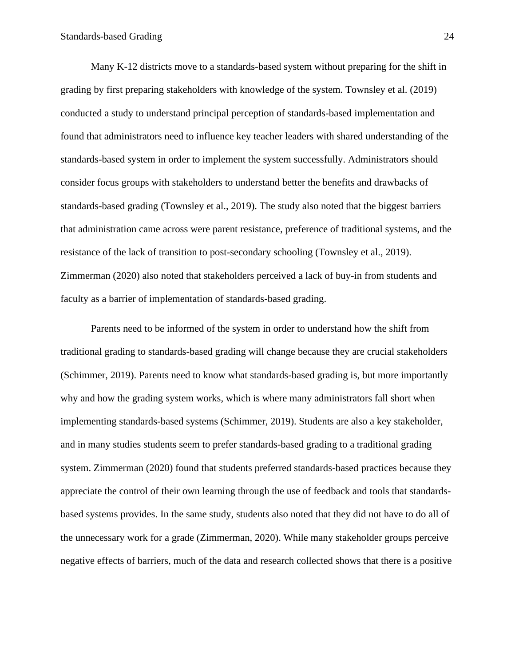Many K-12 districts move to a standards-based system without preparing for the shift in grading by first preparing stakeholders with knowledge of the system. Townsley et al. (2019) conducted a study to understand principal perception of standards-based implementation and found that administrators need to influence key teacher leaders with shared understanding of the standards-based system in order to implement the system successfully. Administrators should consider focus groups with stakeholders to understand better the benefits and drawbacks of standards-based grading (Townsley et al., 2019). The study also noted that the biggest barriers that administration came across were parent resistance, preference of traditional systems, and the resistance of the lack of transition to post-secondary schooling (Townsley et al., 2019). Zimmerman (2020) also noted that stakeholders perceived a lack of buy-in from students and faculty as a barrier of implementation of standards-based grading.

Parents need to be informed of the system in order to understand how the shift from traditional grading to standards-based grading will change because they are crucial stakeholders (Schimmer, 2019). Parents need to know what standards-based grading is, but more importantly why and how the grading system works, which is where many administrators fall short when implementing standards-based systems (Schimmer, 2019). Students are also a key stakeholder, and in many studies students seem to prefer standards-based grading to a traditional grading system. Zimmerman (2020) found that students preferred standards-based practices because they appreciate the control of their own learning through the use of feedback and tools that standardsbased systems provides. In the same study, students also noted that they did not have to do all of the unnecessary work for a grade (Zimmerman, 2020). While many stakeholder groups perceive negative effects of barriers, much of the data and research collected shows that there is a positive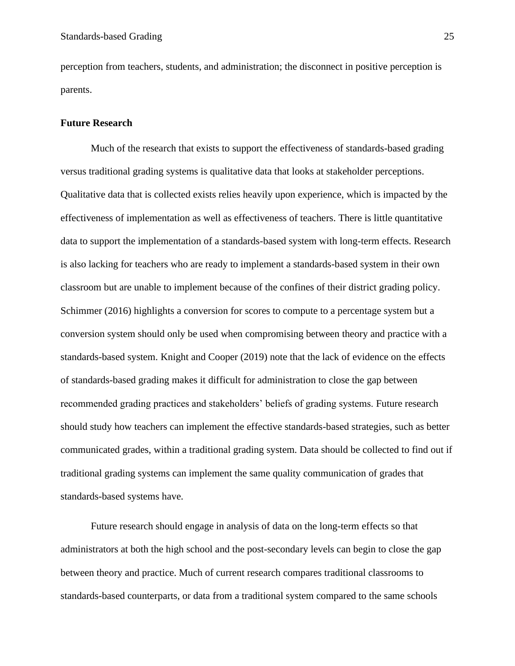perception from teachers, students, and administration; the disconnect in positive perception is parents.

#### <span id="page-25-0"></span>**Future Research**

Much of the research that exists to support the effectiveness of standards-based grading versus traditional grading systems is qualitative data that looks at stakeholder perceptions. Qualitative data that is collected exists relies heavily upon experience, which is impacted by the effectiveness of implementation as well as effectiveness of teachers. There is little quantitative data to support the implementation of a standards-based system with long-term effects. Research is also lacking for teachers who are ready to implement a standards-based system in their own classroom but are unable to implement because of the confines of their district grading policy. Schimmer (2016) highlights a conversion for scores to compute to a percentage system but a conversion system should only be used when compromising between theory and practice with a standards-based system. Knight and Cooper (2019) note that the lack of evidence on the effects of standards-based grading makes it difficult for administration to close the gap between recommended grading practices and stakeholders' beliefs of grading systems. Future research should study how teachers can implement the effective standards-based strategies, such as better communicated grades, within a traditional grading system. Data should be collected to find out if traditional grading systems can implement the same quality communication of grades that standards-based systems have.

Future research should engage in analysis of data on the long-term effects so that administrators at both the high school and the post-secondary levels can begin to close the gap between theory and practice. Much of current research compares traditional classrooms to standards-based counterparts, or data from a traditional system compared to the same schools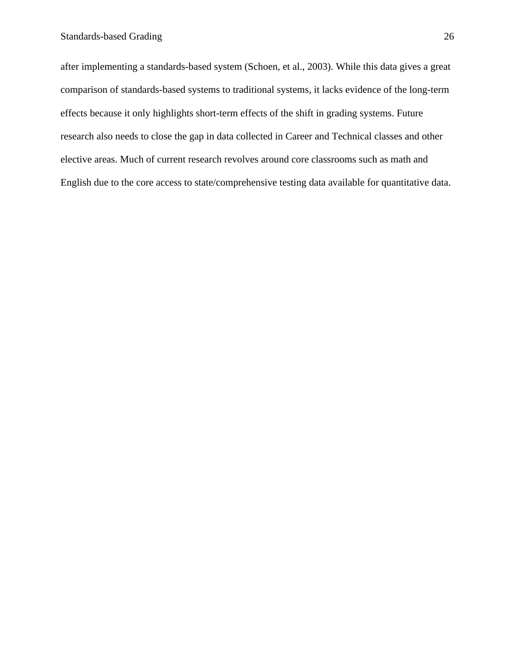after implementing a standards-based system (Schoen, et al., 2003). While this data gives a great comparison of standards-based systems to traditional systems, it lacks evidence of the long-term effects because it only highlights short-term effects of the shift in grading systems. Future research also needs to close the gap in data collected in Career and Technical classes and other elective areas. Much of current research revolves around core classrooms such as math and English due to the core access to state/comprehensive testing data available for quantitative data.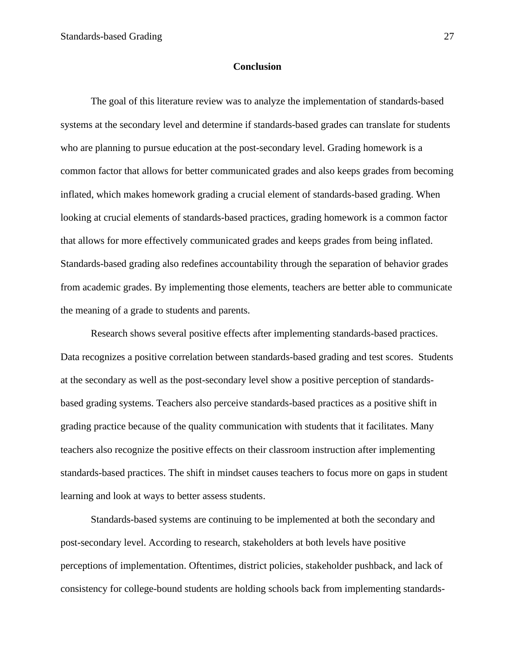#### **Conclusion**

<span id="page-27-0"></span>The goal of this literature review was to analyze the implementation of standards-based systems at the secondary level and determine if standards-based grades can translate for students who are planning to pursue education at the post-secondary level. Grading homework is a common factor that allows for better communicated grades and also keeps grades from becoming inflated, which makes homework grading a crucial element of standards-based grading. When looking at crucial elements of standards-based practices, grading homework is a common factor that allows for more effectively communicated grades and keeps grades from being inflated. Standards-based grading also redefines accountability through the separation of behavior grades from academic grades. By implementing those elements, teachers are better able to communicate the meaning of a grade to students and parents.

Research shows several positive effects after implementing standards-based practices. Data recognizes a positive correlation between standards-based grading and test scores. Students at the secondary as well as the post-secondary level show a positive perception of standardsbased grading systems. Teachers also perceive standards-based practices as a positive shift in grading practice because of the quality communication with students that it facilitates. Many teachers also recognize the positive effects on their classroom instruction after implementing standards-based practices. The shift in mindset causes teachers to focus more on gaps in student learning and look at ways to better assess students.

Standards-based systems are continuing to be implemented at both the secondary and post-secondary level. According to research, stakeholders at both levels have positive perceptions of implementation. Oftentimes, district policies, stakeholder pushback, and lack of consistency for college-bound students are holding schools back from implementing standards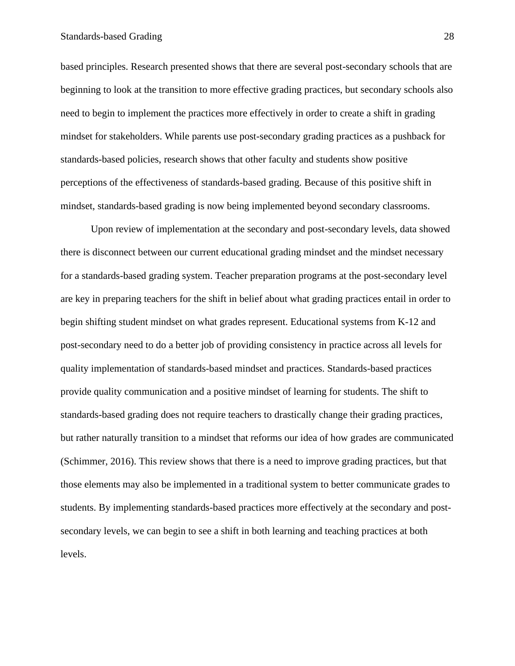based principles. Research presented shows that there are several post-secondary schools that are beginning to look at the transition to more effective grading practices, but secondary schools also need to begin to implement the practices more effectively in order to create a shift in grading mindset for stakeholders. While parents use post-secondary grading practices as a pushback for standards-based policies, research shows that other faculty and students show positive perceptions of the effectiveness of standards-based grading. Because of this positive shift in mindset, standards-based grading is now being implemented beyond secondary classrooms.

Upon review of implementation at the secondary and post-secondary levels, data showed there is disconnect between our current educational grading mindset and the mindset necessary for a standards-based grading system. Teacher preparation programs at the post-secondary level are key in preparing teachers for the shift in belief about what grading practices entail in order to begin shifting student mindset on what grades represent. Educational systems from K-12 and post-secondary need to do a better job of providing consistency in practice across all levels for quality implementation of standards-based mindset and practices. Standards-based practices provide quality communication and a positive mindset of learning for students. The shift to standards-based grading does not require teachers to drastically change their grading practices, but rather naturally transition to a mindset that reforms our idea of how grades are communicated (Schimmer, 2016). This review shows that there is a need to improve grading practices, but that those elements may also be implemented in a traditional system to better communicate grades to students. By implementing standards-based practices more effectively at the secondary and postsecondary levels, we can begin to see a shift in both learning and teaching practices at both levels.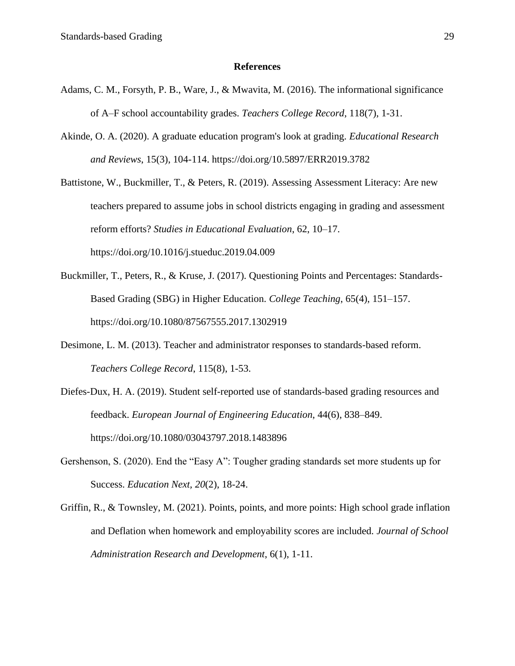#### **References**

- <span id="page-29-0"></span>Adams, C. M., Forsyth, P. B., Ware, J., & Mwavita, M. (2016). The informational significance of A–F school accountability grades. *Teachers College Record*, 118(7), 1-31.
- Akinde, O. A. (2020). A graduate education program's look at grading*. Educational Research and Reviews*, 15(3), 104-114. https://doi.org/10.5897/ERR2019.3782
- Battistone, W., Buckmiller, T., & Peters, R. (2019). Assessing Assessment Literacy: Are new teachers prepared to assume jobs in school districts engaging in grading and assessment reform efforts? *Studies in Educational Evaluation*, 62, 10–17. https://doi.org/10.1016/j.stueduc.2019.04.009
- Buckmiller, T., Peters, R., & Kruse, J. (2017). Questioning Points and Percentages: Standards-Based Grading (SBG) in Higher Education. *College Teaching*, 65(4), 151–157. https://doi.org/10.1080/87567555.2017.1302919
- Desimone, L. M. (2013). Teacher and administrator responses to standards-based reform. *Teachers College Record*, 115(8), 1-53.
- Diefes-Dux, H. A. (2019). Student self-reported use of standards-based grading resources and feedback. *European Journal of Engineering Education*, 44(6), 838–849. https://doi.org/10.1080/03043797.2018.1483896
- Gershenson, S. (2020). End the "Easy A": Tougher grading standards set more students up for Success. *Education Next, 20*(2), 18-24.
- Griffin, R., & Townsley, M. (2021). Points, points, and more points: High school grade inflation and Deflation when homework and employability scores are included. *Journal of School Administration Research and Development*, 6(1), 1-11.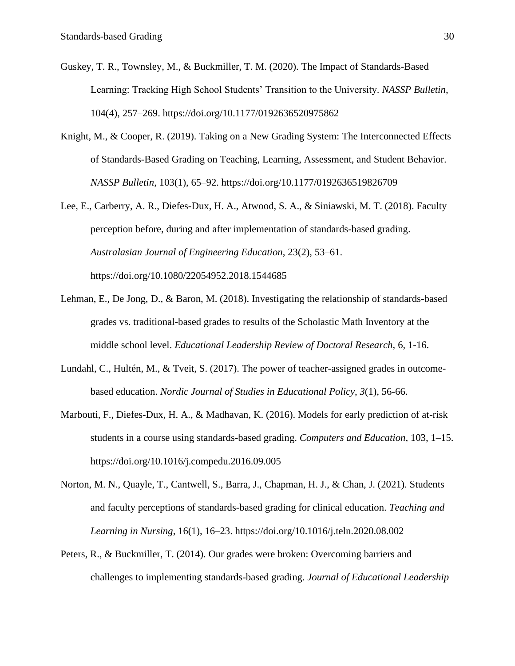- Guskey, T. R., Townsley, M., & Buckmiller, T. M. (2020). The Impact of Standards-Based Learning: Tracking High School Students' Transition to the University. *NASSP Bulletin*, 104(4), 257–269. https://doi.org/10.1177/0192636520975862
- Knight, M., & Cooper, R. (2019). Taking on a New Grading System: The Interconnected Effects of Standards-Based Grading on Teaching, Learning, Assessment, and Student Behavior. *NASSP Bulletin*, 103(1), 65–92. https://doi.org/10.1177/0192636519826709
- Lee, E., Carberry, A. R., Diefes-Dux, H. A., Atwood, S. A., & Siniawski, M. T. (2018). Faculty perception before, during and after implementation of standards-based grading. *Australasian Journal of Engineering Education*, 23(2), 53–61. https://doi.org/10.1080/22054952.2018.1544685
- Lehman, E., De Jong, D., & Baron, M. (2018). Investigating the relationship of standards-based grades vs. traditional-based grades to results of the Scholastic Math Inventory at the middle school level. *Educational Leadership Review of Doctoral Research*, 6, 1-16.
- Lundahl, C., Hultén, M., & Tveit, S. (2017). The power of teacher-assigned grades in outcomebased education. *Nordic Journal of Studies in Educational Policy*, *3*(1), 56-66.
- Marbouti, F., Diefes-Dux, H. A., & Madhavan, K. (2016). Models for early prediction of at-risk students in a course using standards-based grading. *Computers and Education*, 103, 1–15. https://doi.org/10.1016/j.compedu.2016.09.005
- Norton, M. N., Quayle, T., Cantwell, S., Barra, J., Chapman, H. J., & Chan, J. (2021). Students and faculty perceptions of standards-based grading for clinical education. *Teaching and Learning in Nursing*, 16(1), 16–23. https://doi.org/10.1016/j.teln.2020.08.002
- Peters, R., & Buckmiller, T. (2014). Our grades were broken: Overcoming barriers and challenges to implementing standards-based grading. *Journal of Educational Leadership*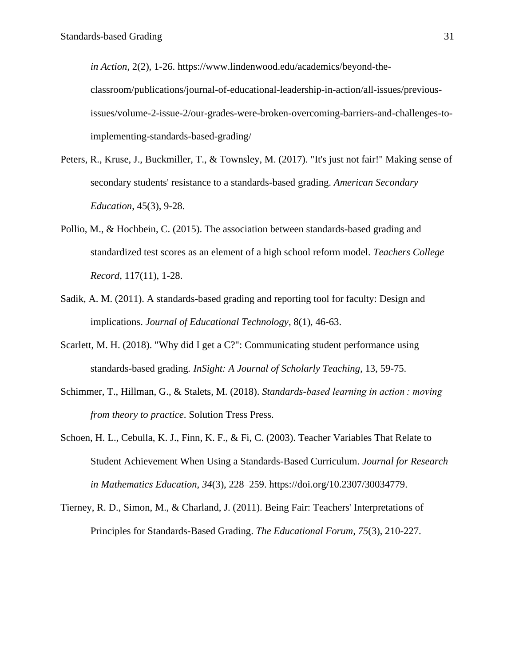*in Action*, 2(2), 1-26. https://www.lindenwood.edu/academics/beyond-theclassroom/publications/journal-of-educational-leadership-in-action/all-issues/previousissues/volume-2-issue-2/our-grades-were-broken-overcoming-barriers-and-challenges-toimplementing-standards-based-grading/

- Peters, R., Kruse, J., Buckmiller, T., & Townsley, M. (2017). "It's just not fair!" Making sense of secondary students' resistance to a standards-based grading. *American Secondary Education*, 45(3), 9-28.
- Pollio, M., & Hochbein, C. (2015). The association between standards-based grading and standardized test scores as an element of a high school reform model. *Teachers College Record*, 117(11), 1-28.
- Sadik, A. M. (2011). A standards-based grading and reporting tool for faculty: Design and implications. *Journal of Educational Technology*, 8(1), 46-63.
- Scarlett, M. H. (2018). "Why did I get a C?": Communicating student performance using standards-based grading*. InSight: A Journal of Scholarly Teaching*, 13, 59-75.
- Schimmer, T., Hillman, G., & Stalets, M. (2018). *Standards-based learning in action : moving from theory to practice*. Solution Tress Press.
- Schoen, H. L., Cebulla, K. J., Finn, K. F., & Fi, C. (2003). Teacher Variables That Relate to Student Achievement When Using a Standards-Based Curriculum. *Journal for Research in Mathematics Education*, *34*(3), 228–259. https://doi.org/10.2307/30034779.
- Tierney, R. D., Simon, M., & Charland, J. (2011). Being Fair: Teachers' Interpretations of Principles for Standards-Based Grading. *The Educational Forum, 75*(3), 210-227.